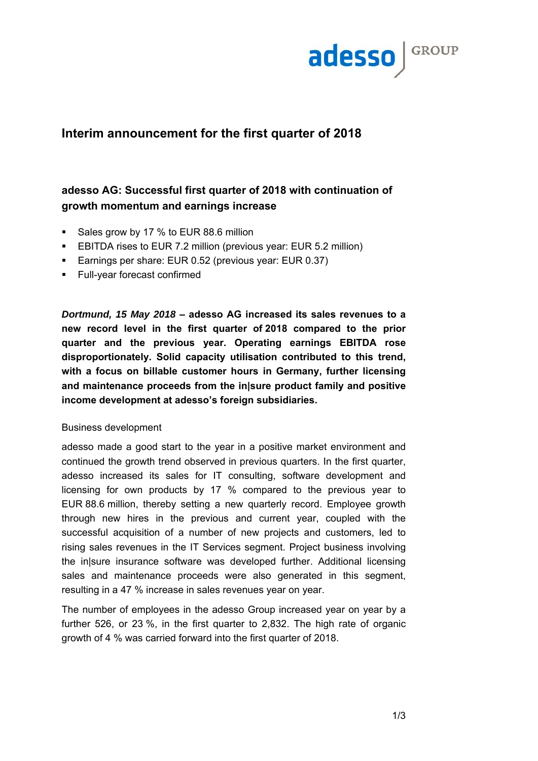

# **Interim announcement for the first quarter of 2018**

# **adesso AG: Successful first quarter of 2018 with continuation of growth momentum and earnings increase**

- Sales grow by 17 % to EUR 88.6 million
- EBITDA rises to EUR 7.2 million (previous year: EUR 5.2 million)
- **Earnings per share: EUR 0.52 (previous year: EUR 0.37)**
- **Full-year forecast confirmed**

*Dortmund, 15 May 2018* **– adesso AG increased its sales revenues to a new record level in the first quarter of 2018 compared to the prior quarter and the previous year. Operating earnings EBITDA rose disproportionately. Solid capacity utilisation contributed to this trend, with a focus on billable customer hours in Germany, further licensing and maintenance proceeds from the in|sure product family and positive income development at adesso's foreign subsidiaries.** 

### Business development

adesso made a good start to the year in a positive market environment and continued the growth trend observed in previous quarters. In the first quarter, adesso increased its sales for IT consulting, software development and licensing for own products by 17 % compared to the previous year to EUR 88.6 million, thereby setting a new quarterly record. Employee growth through new hires in the previous and current year, coupled with the successful acquisition of a number of new projects and customers, led to rising sales revenues in the IT Services segment. Project business involving the in|sure insurance software was developed further. Additional licensing sales and maintenance proceeds were also generated in this segment, resulting in a 47 % increase in sales revenues year on year.

The number of employees in the adesso Group increased year on year by a further 526, or 23 %, in the first quarter to 2,832. The high rate of organic growth of 4 % was carried forward into the first quarter of 2018.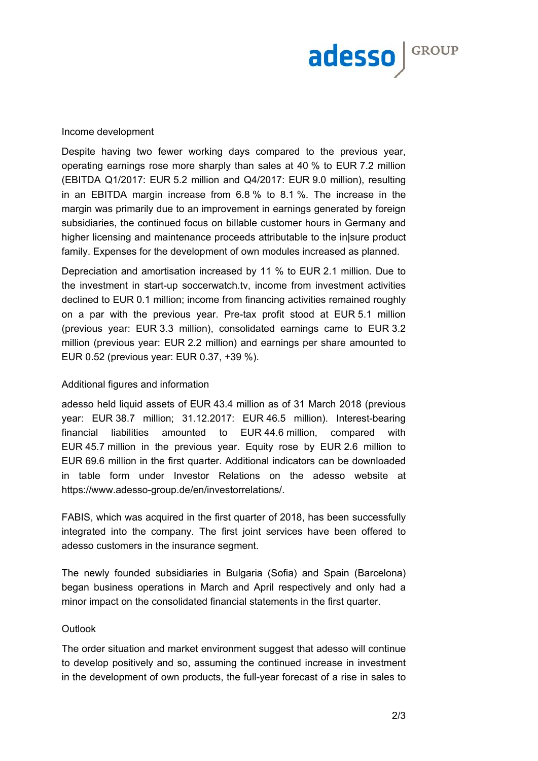

### Income development

Despite having two fewer working days compared to the previous year, operating earnings rose more sharply than sales at 40 % to EUR 7.2 million (EBITDA Q1/2017: EUR 5.2 million and Q4/2017: EUR 9.0 million), resulting in an EBITDA margin increase from 6.8 % to 8.1 %. The increase in the margin was primarily due to an improvement in earnings generated by foreign subsidiaries, the continued focus on billable customer hours in Germany and higher licensing and maintenance proceeds attributable to the in|sure product family. Expenses for the development of own modules increased as planned.

Depreciation and amortisation increased by 11 % to EUR 2.1 million. Due to the investment in start-up soccerwatch.tv, income from investment activities declined to EUR 0.1 million; income from financing activities remained roughly on a par with the previous year. Pre-tax profit stood at EUR 5.1 million (previous year: EUR 3.3 million), consolidated earnings came to EUR 3.2 million (previous year: EUR 2.2 million) and earnings per share amounted to EUR 0.52 (previous year: EUR 0.37, +39 %).

### Additional figures and information

adesso held liquid assets of EUR 43.4 million as of 31 March 2018 (previous year: EUR 38.7 million; 31.12.2017: EUR 46.5 million). Interest-bearing financial liabilities amounted to EUR 44.6 million, compared with EUR 45.7 million in the previous year. Equity rose by EUR 2.6 million to EUR 69.6 million in the first quarter. Additional indicators can be downloaded in table form under Investor Relations on the adesso website at https://www.adesso-group.de/en/investorrelations/.

FABIS, which was acquired in the first quarter of 2018, has been successfully integrated into the company. The first joint services have been offered to adesso customers in the insurance segment.

The newly founded subsidiaries in Bulgaria (Sofia) and Spain (Barcelona) began business operations in March and April respectively and only had a minor impact on the consolidated financial statements in the first quarter.

#### **Outlook**

The order situation and market environment suggest that adesso will continue to develop positively and so, assuming the continued increase in investment in the development of own products, the full-year forecast of a rise in sales to